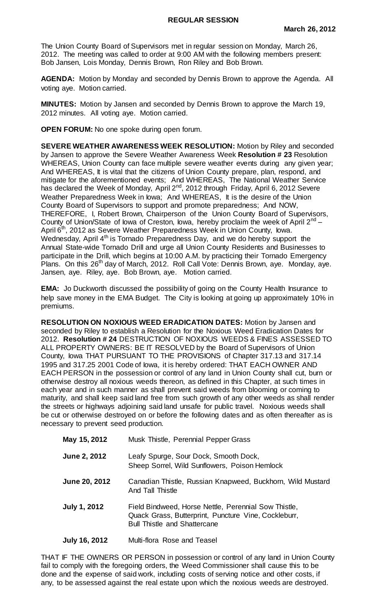The Union County Board of Supervisors met in regular session on Monday, March 26, 2012. The meeting was called to order at 9:00 AM with the following members present: Bob Jansen, Lois Monday, Dennis Brown, Ron Riley and Bob Brown.

**AGENDA:** Motion by Monday and seconded by Dennis Brown to approve the Agenda. All voting aye. Motion carried.

**MINUTES:** Motion by Jansen and seconded by Dennis Brown to approve the March 19, 2012 minutes. All voting aye. Motion carried.

**OPEN FORUM:** No one spoke during open forum.

**SEVERE WEATHER AWARENESS WEEK RESOLUTION:** Motion by Riley and seconded by Jansen to approve the Severe Weather Awareness Week **Resolution # 23** Resolution WHEREAS, Union County can face multiple severe weather events during any given year; And WHEREAS, It is vital that the citizens of Union County prepare, plan, respond, and mitigate for the aforementioned events; And WHEREAS, The National Weather Service has declared the Week of Monday, April 2<sup>nd</sup>, 2012 through Friday, April 6, 2012 Severe Weather Preparedness Week in Iowa; And WHEREAS, It is the desire of the Union County Board of Supervisors to support and promote preparedness; And NOW, THEREFORE, I, Robert Brown, Chairperson of the Union County Board of Supervisors, County of Union/State of Iowa of Creston, Iowa, hereby proclaim the week of April 2<sup>nd</sup> -April 6<sup>th</sup>, 2012 as Severe Weather Preparedness Week in Union County, Iowa. Wednesday, April  $4<sup>th</sup>$  is Tornado Preparedness Day, and we do hereby support the Annual State-wide Tornado Drill and urge all Union County Residents and Businesses to participate in the Drill, which begins at 10:00 A.M. by practicing their Tornado Emergency Plans. On this 26<sup>th</sup> day of March, 2012. Roll Call Vote: Dennis Brown, aye. Monday, aye. Jansen, aye. Riley, aye. Bob Brown, aye. Motion carried.

**EMA:** Jo Duckworth discussed the possibility of going on the County Health Insurance to help save money in the EMA Budget. The City is looking at going up approximately 10% in premiums.

**RESOLUTION ON NOXIOUS WEED ERADICATION DATES:** Motion by Jansen and seconded by Riley to establish a Resolution for the Noxious Weed Eradication Dates for 2012. **Resolution # 24** DESTRUCTION OF NOXIOUS WEEDS & FINES ASSESSED TO ALL PROPERTY OWNERS: BE IT RESOLVED by the Board of Supervisors of Union County, Iowa THAT PURSUANT TO THE PROVISIONS of Chapter 317.13 and 317.14 1995 and 317.25 2001 Code of Iowa, it is hereby ordered: THAT EACH OWNER AND EACH PERSON in the possession or control of any land in Union County shall cut, burn or otherwise destroy all noxious weeds thereon, as defined in this Chapter, at such times in each year and in such manner as shall prevent said weeds from blooming or coming to maturity, and shall keep said land free from such growth of any other weeds as shall render the streets or highways adjoining said land unsafe for public travel. Noxious weeds shall be cut or otherwise destroyed on or before the following dates and as often thereafter as is necessary to prevent seed production.

| May 15, 2012         | Musk Thistle, Perennial Pepper Grass                                                                                                                |
|----------------------|-----------------------------------------------------------------------------------------------------------------------------------------------------|
| <b>June 2, 2012</b>  | Leafy Spurge, Sour Dock, Smooth Dock,<br>Sheep Sorrel, Wild Sunflowers, Poison Hemlock                                                              |
| <b>June 20, 2012</b> | Canadian Thistle, Russian Knapweed, Buckhorn, Wild Mustard<br>And Tall Thistle                                                                      |
| July 1, 2012         | Field Bindweed, Horse Nettle, Perennial Sow Thistle,<br>Quack Grass, Butterprint, Puncture Vine, Cockleburr,<br><b>Bull Thistle and Shattercane</b> |

**July 16, 2012** Multi-flora Rose and Teasel

THAT IF THE OWNERS OR PERSON in possession or control of any land in Union County fail to comply with the foregoing orders, the Weed Commissioner shall cause this to be done and the expense of said work, including costs of serving notice and other costs, if any, to be assessed against the real estate upon which the noxious weeds are destroyed.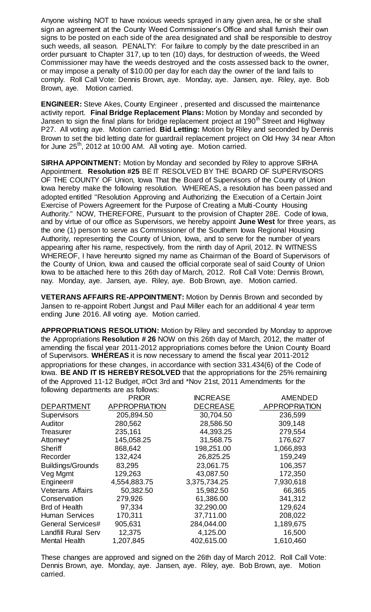Anyone wishing NOT to have noxious weeds sprayed in any given area, he or she shall sign an agreement at the County Weed Commissioner's Office and shall furnish their own signs to be posted on each side of the area designated and shall be responsible to destroy such weeds, all season. PENALTY: For failure to comply by the date prescribed in an order pursuant to Chapter 317, up to ten (10) days, for destruction of weeds, the Weed Commissioner may have the weeds destroyed and the costs assessed back to the owner, or may impose a penalty of \$10.00 per day for each day the owner of the land fails to comply. Roll Call Vote: Dennis Brown, aye. Monday, aye. Jansen, aye. Riley, aye. Bob Brown, aye. Motion carried.

**ENGINEER:** Steve Akes, County Engineer , presented and discussed the maintenance activity report. **Final Bridge Replacement Plans:** Motion by Monday and seconded by Jansen to sign the final plans for bridge replacement project at 190<sup>th</sup> Street and Highway P27. All voting aye. Motion carried. **Bid Letting:** Motion by Riley and seconded by Dennis Brown to set the bid letting date for guardrail replacement project on Old Hwy 34 near Afton for June  $25<sup>th</sup>$ , 2012 at 10:00 AM. All voting aye. Motion carried.

**SIRHA APPOINTMENT:** Motion by Monday and seconded by Riley to approve SIRHA Appointment. **Resolution #25** BE IT RESOLVED BY THE BOARD OF SUPERVISORS OF THE COUNTY OF Union, Iowa That the Board of Supervisors of the County of Union lowa hereby make the following resolution. WHEREAS, a resolution has been passed and adopted entitled "Resolution Approving and Authorizing the Execution of a Certain Joint Exercise of Powers Agreement for the Purpose of Creating a Multi-County Housing Authority." NOW, THEREFORE, Pursuant to the provision of Chapter 28E. Code of Iowa, and by virtue of our office as Supervisors, we hereby appoint **June West** for three years, as the one (1) person to serve as Commissioner of the Southern Iowa Regional Housing Authority, representing the County of Union, Iowa, and to serve for the number of years appearing after his name, respectively, from the ninth day of April, 2012. IN WITNESS WHEREOF, I have hereunto signed my name as Chairman of the Board of Supervisors of the County of Union, Iowa and caused the official corporate seal of said County of Union lowa to be attached here to this 26th day of March, 2012. Roll Call Vote: Dennis Brown, nay. Monday, aye. Jansen, aye. Riley, aye. Bob Brown, aye. Motion carried.

**VETERANS AFFAIRS RE-APPOINTMENT:** Motion by Dennis Brown and seconded by Jansen to re-appoint Robert Jungst and Paul Miller each for an additional 4 year term ending June 2016. All voting aye. Motion carried.

**APPROPRIATIONS RESOLUTION:** Motion by Riley and seconded by Monday to approve the Appropriations **Resolution # 26** NOW on this 26th day of March, 2012, the matter of amending the fiscal year 2011-2012 appropriations comes before the Union County Board of Supervisors. **WHEREAS** it is now necessary to amend the fiscal year 2011-2012 appropriations for these changes, in accordance with section 331.434(6) of the Code of lowa. **BE AND IT IS HEREBY RESOLVED** that the appropriations for the 25% remaining of the Approved 11-12 Budget, #Oct 3rd and \*Nov 21st, 2011 Amendments for the following departments are as follows:

|                            | <b>PRIOR</b>         | <b>INCREASE</b> | <b>AMENDED</b>       |
|----------------------------|----------------------|-----------------|----------------------|
| <b>DEPARTMENT</b>          | <b>APPROPRIATION</b> | <b>DECREASE</b> | <b>APPROPRIATION</b> |
| <b>Supervisors</b>         | 205,894.50           | 30,704.50       | 236,599              |
| Auditor                    | 280,562              | 28,586.50       | 309,148              |
| Treasurer                  | 235,161              | 44,393.25       | 279,554              |
| Attorney*                  | 145,058.25           | 31,568.75       | 176,627              |
| Sheriff                    | 868,642              | 198,251.00      | 1,066,893            |
| Recorder                   | 132,424              | 26,825.25       | 159,249              |
| <b>Buildings/Grounds</b>   | 83,295               | 23,061.75       | 106,357              |
| Veg Mgmt                   | 129,263              | 43,087.50       | 172,350              |
| Engineer#                  | 4,554,883.75         | 3,375,734.25    | 7,930,618            |
| <b>Veterans Affairs</b>    | 50,382.50            | 15,982.50       | 66,365               |
| Conservation               | 279,926              | 61,386.00       | 341,312              |
| <b>Brd of Health</b>       | 97,334               | 32,290.00       | 129,624              |
| <b>Human Services</b>      | 170,311              | 37,711.00       | 208,022              |
| <b>General Services#</b>   | 905,631              | 284,044.00      | 1,189,675            |
| <b>Landfill Rural Serv</b> | 12,375               | 4,125.00        | 16,500               |
| <b>Mental Health</b>       | 1,207,845            | 402,615.00      | 1,610,460            |

These changes are approved and signed on the 26th day of March 2012. Roll Call Vote: Dennis Brown, aye. Monday, aye. Jansen, aye. Riley, aye. Bob Brown, aye. Motion carried.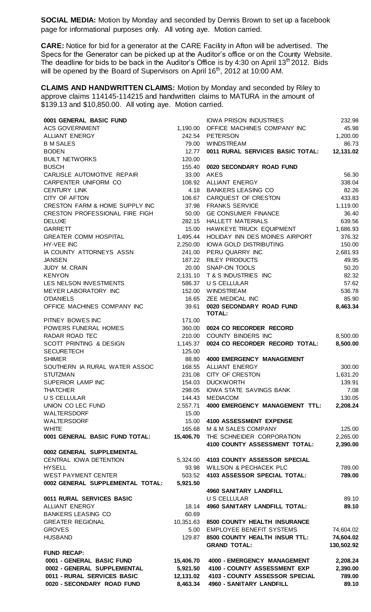**SOCIAL MEDIA:** Motion by Monday and seconded by Dennis Brown to set up a facebook page for informational purposes only. All voting aye. Motion carried.

**CARE:** Notice for bid for a generator at the CARE Facility in Afton will be advertised. The Specs for the Generator can be picked up at the Auditor's office or on the County Website. The deadline for bids to be back in the Auditor's Office is by 4:30 on April 13<sup>th</sup> 2012. Bids will be opened by the Board of Supervisors on April 16<sup>th</sup>, 2012 at 10:00 AM.

**CLAIMS AND HANDWRITTEN CLAIMS:** Motion by Monday and seconded by Riley to approve claims 114145-114215 and handwritten claims to MATURA in the amount of \$139.13 and \$10,850.00. All voting aye. Motion carried.

| 0001 GENERAL BASIC FUND                                   |                       | <b>IOWA PRISON INDUSTRIES</b>                              | 232.98             |
|-----------------------------------------------------------|-----------------------|------------------------------------------------------------|--------------------|
| <b>ACS GOVERNMENT</b>                                     |                       | 1,190.00 OFFICE MACHINES COMPANY INC                       | 45.98              |
| <b>ALLIANT ENERGY</b>                                     |                       | 242.54 PETERSON                                            | 1,200.00           |
| <b>B M SALES</b>                                          |                       | 79.00 WINDSTREAM                                           | 86.73              |
| <b>BODEN</b>                                              | 12.77                 | 0011 RURAL SERVICES BASIC TOTAL:                           | 12,131.02          |
| <b>BUILT NETWORKS</b>                                     | 120.00                |                                                            |                    |
| <b>BUSCH</b>                                              |                       | 155.40 0020 SECONDARY ROAD FUND                            |                    |
| CARLISLE AUTOMOTIVE REPAIR                                |                       | 33.00 AKES                                                 | 56.30              |
| CARPENTER UNIFORM CO                                      |                       | 108.92 ALLIANT ENERGY                                      | 338.04             |
| <b>CENTURY LINK</b>                                       |                       | 4.18 BANKERS LEASING CO                                    | 82.26              |
| CITY OF AFTON                                             | 106.67                | CARQUEST OF CRESTON                                        | 433.83             |
| CRESTON FARM & HOME SUPPLY INC                            |                       | 37.98 FRANKS SERVICE                                       | 1,119.00           |
| CRESTON PROFESSIONAL FIRE FIGH                            | 50.00                 | <b>GE CONSUMER FINANCE</b>                                 | 36.40              |
| <b>DELUXE</b>                                             | 282.15                | <b>HALLETT MATERIALS</b>                                   | 639.56             |
| <b>GARRETT</b>                                            | 15.00                 | HAWKEYE TRUCK EQUIPMENT<br>HOLIDAY INN DES MOINES AIRPORT  | 1,686.93<br>376.32 |
| <b>GREATER COMM HOSPITAL</b><br><b>HY-VEE INC</b>         | 1,495.44              | 2,250.00 IOWA GOLD DISTRIBUTING                            | 150.00             |
| IA COUNTY ATTORNEYS ASSN                                  |                       | 241.00 PERU QUARRY INC                                     | 2,681.93           |
| <b>JANSEN</b>                                             |                       | 187.22 RILEY PRODUCTS                                      | 49.95              |
| JUDY M. CRAIN                                             |                       | 20.00 SNAP-ON TOOLS                                        | 50.20              |
| <b>KENYON</b>                                             |                       | 2,131.10 T & S INDUSTRIES INC                              | 82.32              |
| LES NELSON INVESTMENTS                                    |                       | 586.37 U S CELLULAR                                        | 57.62              |
| MEYER LABORATORY INC                                      |                       | 152.00 WINDSTREAM                                          | 536.78             |
| <b>O'DANIELS</b>                                          | 16.65                 | ZEE MEDICAL INC                                            | 85.90              |
| OFFICE MACHINES COMPANY INC                               | 39.61                 | 0020 SECONDARY ROAD FUND                                   | 8,463.34           |
|                                                           |                       | <b>TOTAL:</b>                                              |                    |
| PITNEY BOWES INC                                          | 171.00                |                                                            |                    |
| POWERS FUNERAL HOMES                                      | 360.00                | 0024 CO RECORDER RECORD                                    |                    |
| RADAR ROAD TEC                                            |                       | 210.00 COUNTY BINDERS INC                                  | 8,500.00           |
| SCOTT PRINTING & DESIGN                                   | 1,145.37              | 0024 CO RECORDER RECORD TOTAL:                             | 8,500.00           |
| <b>SECURETECH</b>                                         | 125.00                |                                                            |                    |
| <b>SHIMER</b>                                             | 88.80                 | 4000 EMERGENCY MANAGEMENT                                  |                    |
| SOUTHERN IA RURAL WATER ASSOC                             | 168.55                | <b>ALLIANT ENERGY</b>                                      | 300.00             |
| <b>STUTZMAN</b>                                           | 231.08                | <b>CITY OF CRESTON</b>                                     | 1,631.20           |
| SUPERIOR LAMP INC<br><b>THATCHER</b>                      | 154.03                | <b>DUCKWORTH</b><br>IOWA STATE SAVINGS BANK                | 139.91             |
| <b>U S CELLULAR</b>                                       | 298.05<br>144.43      | <b>MEDIACOM</b>                                            | 7.08<br>130.05     |
| UNION CO LEC FUND                                         | 2,557.71              | 4000 EMERGENCY MANAGEMENT TTL:                             | 2,208.24           |
| WALTERSDORF                                               | 15.00                 |                                                            |                    |
| WALTERSDORF                                               | 15.00                 | 4100 ASSESSMENT EXPENSE                                    |                    |
| <b>WHITE</b>                                              | 165.68                | M & M SALES COMPANY                                        | 125.00             |
| 0001 GENERAL BASIC FUND TOTAL:                            | 15,406.70             | THE SCHNEIDER CORPORATION                                  | 2,265.00           |
|                                                           |                       | 4100 COUNTY ASSESSMENT TOTAL:                              | 2,390.00           |
| 0002 GENERAL SUPPLEMENTAL                                 |                       |                                                            |                    |
| <b>CENTRAL IOWA DETENTION</b>                             |                       | 5,324.00 4103 COUNTY ASSESSOR SPECIAL                      |                    |
| <b>HYSELL</b>                                             |                       | 93.98 WILLSON & PECHACEK PLC                               | 789.00             |
| <b>WEST PAYMENT CENTER</b>                                | 503.52                | 4103 ASSESSOR SPECIAL TOTAL:                               | 789.00             |
| 0002 GENERAL SUPPLEMENTAL TOTAL:                          | 5,921.50              |                                                            |                    |
|                                                           |                       | <b>4960 SANITARY LANDFILL</b>                              |                    |
| 0011 RURAL SERVICES BASIC                                 |                       | <b>U S CELLULAR</b>                                        | 89.10              |
| ALLIANT ENERGY                                            | 18.14                 | <b>4960 SANITARY LANDFILL TOTAL:</b>                       | 89.10              |
| <b>BANKERS LEASING CO</b>                                 | 60.69                 |                                                            |                    |
| <b>GREATER REGIONAL</b>                                   |                       | 10,351.63 8500 COUNTY HEALTH INSURANCE                     |                    |
| <b>GROVES</b>                                             |                       | 5.00 EMPLOYEE BENEFIT SYSTEMS                              | 74,604.02          |
| <b>HUSBAND</b>                                            | 129.87                | 8500 COUNTY HEALTH INSUR TTL:                              | 74,604.02          |
|                                                           |                       | <b>GRAND TOTAL:</b>                                        | 130,502.92         |
| <b>FUND RECAP:</b>                                        |                       |                                                            |                    |
| 0001 - GENERAL BASIC FUND                                 | 15,406.70             | 4000 - EMERGENCY MANAGEMENT                                | 2,208.24           |
| 0002 - GENERAL SUPPLEMENTAL                               | 5,921.50              | 4100 - COUNTY ASSESSMENT EXP                               | 2,390.00           |
| 0011 - RURAL SERVICES BASIC<br>0020 - SECONDARY ROAD FUND | 12,131.02<br>8,463.34 | 4103 - COUNTY ASSESSOR SPECIAL<br>4960 - SANITARY LANDFILL | 789.00<br>89.10    |
|                                                           |                       |                                                            |                    |